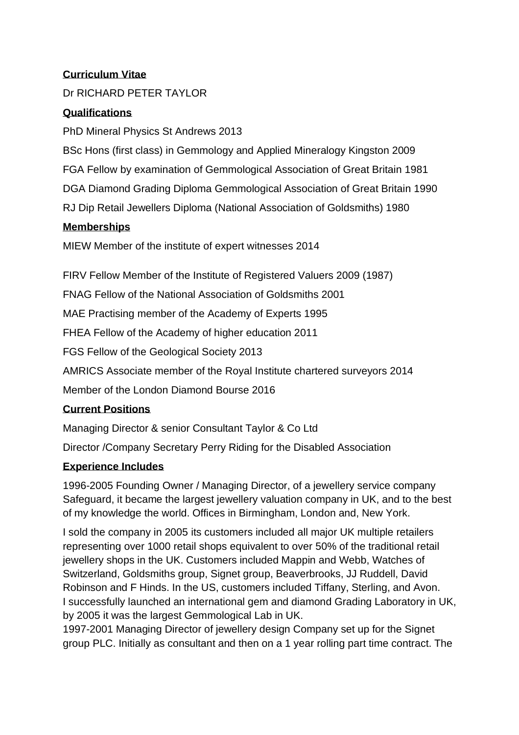### **Curriculum Vitae**

### Dr RICHARD PETER TAYLOR

#### **Qualifications**

PhD Mineral Physics St Andrews 2013

BSc Hons (first class) in Gemmology and Applied Mineralogy Kingston 2009 FGA Fellow by examination of Gemmological Association of Great Britain 1981 DGA Diamond Grading Diploma Gemmological Association of Great Britain 1990 RJ Dip Retail Jewellers Diploma (National Association of Goldsmiths) 1980

#### **Memberships**

MIEW Member of the institute of expert witnesses 2014

FIRV Fellow Member of the Institute of Registered Valuers 2009 (1987)

FNAG Fellow of the National Association of Goldsmiths 2001

MAE Practising member of the Academy of Experts 1995

FHEA Fellow of the Academy of higher education 2011

FGS Fellow of the Geological Society 2013

AMRICS Associate member of the Royal Institute chartered surveyors 2014

Member of the London Diamond Bourse 2016

#### **Current Positions**

Managing Director & senior Consultant Taylor & Co Ltd

Director /Company Secretary Perry Riding for the Disabled Association

## **Experience Includes**

1996-2005 Founding Owner / Managing Director, of a jewellery service company Safeguard, it became the largest jewellery valuation company in UK, and to the best of my knowledge the world. Offices in Birmingham, London and, New York.

I sold the company in 2005 its customers included all major UK multiple retailers representing over 1000 retail shops equivalent to over 50% of the traditional retail jewellery shops in the UK. Customers included Mappin and Webb, Watches of Switzerland, Goldsmiths group, Signet group, Beaverbrooks, JJ Ruddell, David Robinson and F Hinds. In the US, customers included Tiffany, Sterling, and Avon. I successfully launched an international gem and diamond Grading Laboratory in UK, by 2005 it was the largest Gemmological Lab in UK.

1997-2001 Managing Director of jewellery design Company set up for the Signet group PLC. Initially as consultant and then on a 1 year rolling part time contract. The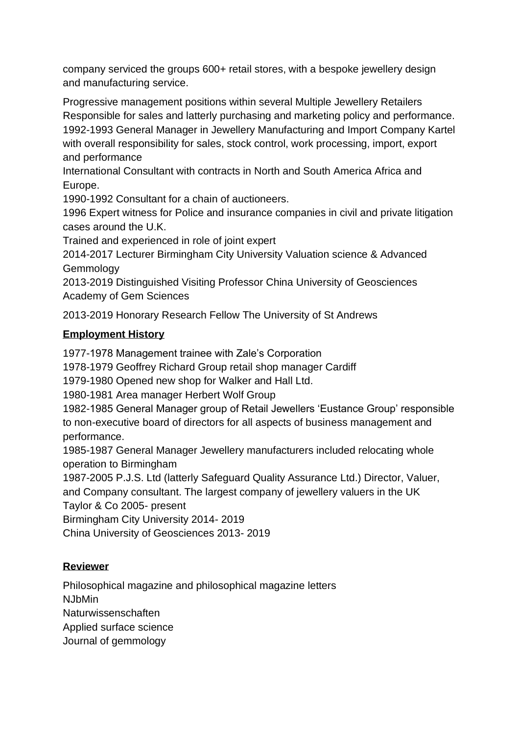company serviced the groups 600+ retail stores, with a bespoke jewellery design and manufacturing service.

Progressive management positions within several Multiple Jewellery Retailers Responsible for sales and latterly purchasing and marketing policy and performance. 1992-1993 General Manager in Jewellery Manufacturing and Import Company Kartel with overall responsibility for sales, stock control, work processing, import, export and performance

International Consultant with contracts in North and South America Africa and Europe.

1990-1992 Consultant for a chain of auctioneers.

1996 Expert witness for Police and insurance companies in civil and private litigation cases around the U.K.

Trained and experienced in role of joint expert

2014-2017 Lecturer Birmingham City University Valuation science & Advanced Gemmology

2013-2019 Distinguished Visiting Professor China University of Geosciences Academy of Gem Sciences

2013-2019 Honorary Research Fellow The University of St Andrews

### **Employment History**

1977-1978 Management trainee with Zale's Corporation

1978-1979 Geoffrey Richard Group retail shop manager Cardiff

1979-1980 Opened new shop for Walker and Hall Ltd.

1980-1981 Area manager Herbert Wolf Group

1982-1985 General Manager group of Retail Jewellers 'Eustance Group' responsible to non-executive board of directors for all aspects of business management and performance.

1985-1987 General Manager Jewellery manufacturers included relocating whole operation to Birmingham

1987-2005 P.J.S. Ltd (latterly Safeguard Quality Assurance Ltd.) Director, Valuer, and Company consultant. The largest company of jewellery valuers in the UK Taylor & Co 2005- present

Birmingham City University 2014- 2019

China University of Geosciences 2013- 2019

## **Reviewer**

Philosophical magazine and philosophical magazine letters

NJbMin

Naturwissenschaften

Applied surface science

Journal of gemmology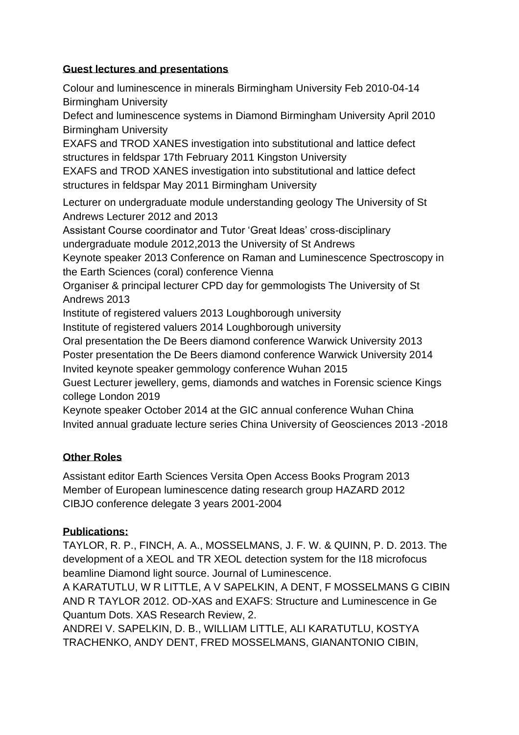### **Guest lectures and presentations**

Colour and luminescence in minerals Birmingham University Feb 2010-04-14 Birmingham University

Defect and luminescence systems in Diamond Birmingham University April 2010 Birmingham University

EXAFS and TROD XANES investigation into substitutional and lattice defect structures in feldspar 17th February 2011 Kingston University

EXAFS and TROD XANES investigation into substitutional and lattice defect structures in feldspar May 2011 Birmingham University

Lecturer on undergraduate module understanding geology The University of St Andrews Lecturer 2012 and 2013

Assistant Course coordinator and Tutor 'Great Ideas' cross-disciplinary

undergraduate module 2012,2013 the University of St Andrews

Keynote speaker 2013 Conference on Raman and Luminescence Spectroscopy in the Earth Sciences (coral) conference Vienna

Organiser & principal lecturer CPD day for gemmologists The University of St Andrews 2013

Institute of registered valuers 2013 Loughborough university

Institute of registered valuers 2014 Loughborough university

Oral presentation the De Beers diamond conference Warwick University 2013

Poster presentation the De Beers diamond conference Warwick University 2014

Invited keynote speaker gemmology conference Wuhan 2015

Guest Lecturer jewellery, gems, diamonds and watches in Forensic science Kings college London 2019

Keynote speaker October 2014 at the GIC annual conference Wuhan China Invited annual graduate lecture series China University of Geosciences 2013 -2018

# **Other Roles**

Assistant editor Earth Sciences Versita Open Access Books Program 2013 Member of European luminescence dating research group HAZARD 2012 CIBJO conference delegate 3 years 2001-2004

## **Publications:**

TAYLOR, R. P., FINCH, A. A., MOSSELMANS, J. F. W. & QUINN, P. D. 2013. The development of a XEOL and TR XEOL detection system for the I18 microfocus beamline Diamond light source. Journal of Luminescence.

A KARATUTLU, W R LITTLE, A V SAPELKIN, A DENT, F MOSSELMANS G CIBIN AND R TAYLOR 2012. OD-XAS and EXAFS: Structure and Luminescence in Ge Quantum Dots. XAS Research Review, 2.

ANDREI V. SAPELKIN, D. B., WILLIAM LITTLE, ALI KARATUTLU, KOSTYA TRACHENKO, ANDY DENT, FRED MOSSELMANS, GIANANTONIO CIBIN,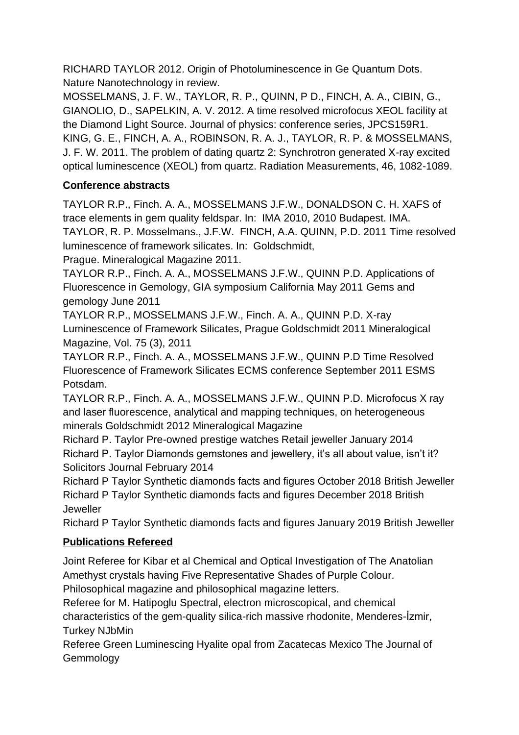RICHARD TAYLOR 2012. Origin of Photoluminescence in Ge Quantum Dots. Nature Nanotechnology in review.

MOSSELMANS, J. F. W., TAYLOR, R. P., QUINN, P D., FINCH, A. A., CIBIN, G., GIANOLIO, D., SAPELKIN, A. V. 2012. A time resolved microfocus XEOL facility at the Diamond Light Source. Journal of physics: conference series, JPCS159R1. KING, G. E., FINCH, A. A., ROBINSON, R. A. J., TAYLOR, R. P. & MOSSELMANS, J. F. W. 2011. The problem of dating quartz 2: Synchrotron generated X-ray excited optical luminescence (XEOL) from quartz. Radiation Measurements, 46, 1082-1089.

# **Conference abstracts**

TAYLOR R.P., Finch. A. A., MOSSELMANS J.F.W., DONALDSON C. H. XAFS of trace elements in gem quality feldspar. In: IMA 2010, 2010 Budapest. IMA. TAYLOR, R. P. Mosselmans., J.F.W. FINCH, A.A. QUINN, P.D. 2011 Time resolved luminescence of framework silicates. In: Goldschmidt,

Prague. Mineralogical Magazine 2011.

TAYLOR R.P., Finch. A. A., MOSSELMANS J.F.W., QUINN P.D. Applications of Fluorescence in Gemology, GIA symposium California May 2011 Gems and gemology June 2011

TAYLOR R.P., MOSSELMANS J.F.W., Finch. A. A., QUINN P.D. X-ray Luminescence of Framework Silicates, Prague Goldschmidt 2011 Mineralogical Magazine, Vol. 75 (3), 2011

TAYLOR R.P., Finch. A. A., MOSSELMANS J.F.W., QUINN P.D Time Resolved Fluorescence of Framework Silicates ECMS conference September 2011 ESMS Potsdam.

TAYLOR R.P., Finch. A. A., MOSSELMANS J.F.W., QUINN P.D. Microfocus X ray and laser fluorescence, analytical and mapping techniques, on heterogeneous minerals Goldschmidt 2012 Mineralogical Magazine

Richard P. Taylor Pre-owned prestige watches Retail jeweller January 2014 Richard P. Taylor Diamonds gemstones and jewellery, it's all about value, isn't it? Solicitors Journal February 2014

Richard P Taylor Synthetic diamonds facts and figures October 2018 British Jeweller Richard P Taylor Synthetic diamonds facts and figures December 2018 British **Jeweller** 

Richard P Taylor Synthetic diamonds facts and figures January 2019 British Jeweller

# **Publications Refereed**

Joint Referee for Kibar et al Chemical and Optical Investigation of The Anatolian Amethyst crystals having Five Representative Shades of Purple Colour. Philosophical magazine and philosophical magazine letters.

Referee for M. Hatipoglu Spectral, electron microscopical, and chemical characteristics of the gem-quality silica-rich massive rhodonite, Menderes-İzmir, Turkey NJbMin

Referee Green Luminescing Hyalite opal from Zacatecas Mexico The Journal of Gemmology